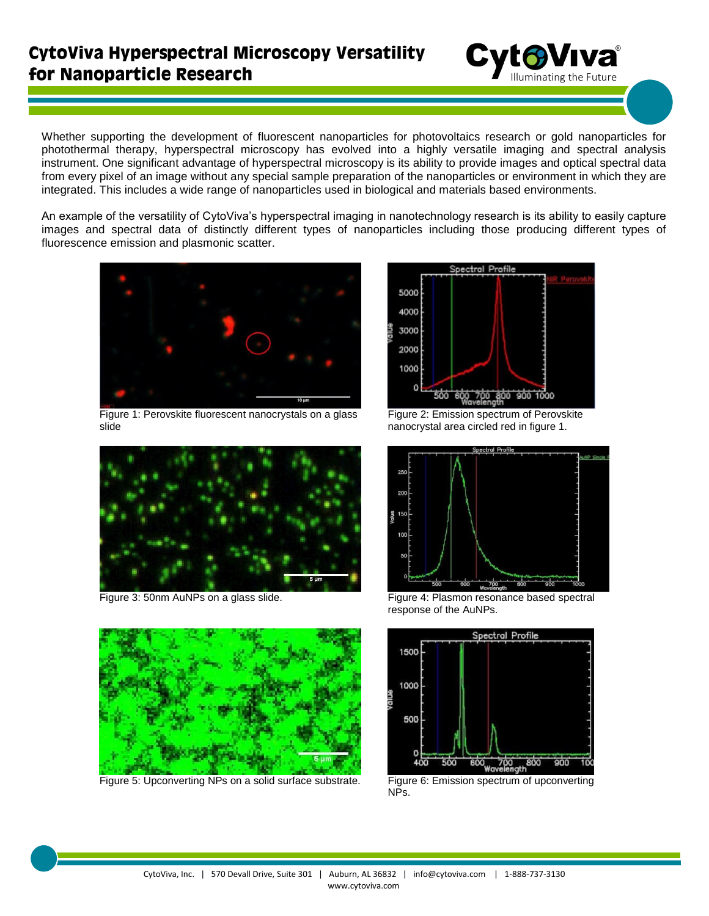## **CytoViva Hyperspectral Microscopy Versatility** for Nanoparticle Research



Whether supporting the development of fluorescent nanoparticles for photovoltaics research or gold nanoparticles for photothermal therapy, hyperspectral microscopy has evolved into a highly versatile imaging and spectral analysis instrument. One significant advantage of hyperspectral microscopy is its ability to provide images and optical spectral data from every pixel of an image without any special sample preparation of the nanoparticles or environment in which they are integrated. This includes a wide range of nanoparticles used in biological and materials based environments.

An example of the versatility of CytoViva's hyperspectral imaging in nanotechnology research is its ability to easily capture images and spectral data of distinctly different types of nanoparticles including those producing different types of fluorescence emission and plasmonic scatter.



Figure 1: Perovskite fluorescent nanocrystals on a glass slide





Figure 5: Upconverting NPs on a solid surface substrate. Figure 6: Emission spectrum of upconverting



Figure 2: Emission spectrum of Perovskite nanocrystal area circled red in figure 1.



Figure 3: 50nm AuNPs on a glass slide. Figure 4: Plasmon resonance based spectral response of the AuNPs.